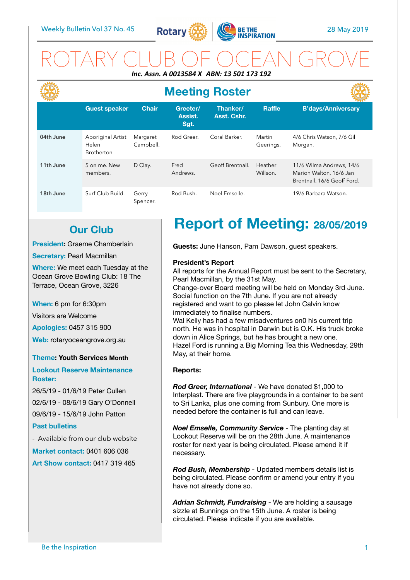

### ROTARY CLUB OF OCEAN GROVE *Inc. Assn. A 0013584 X ABN: 13 501 173 192*

|           | <b>Meeting Roster</b>                           |                       |                             |                         |                     |                                                                                    |
|-----------|-------------------------------------------------|-----------------------|-----------------------------|-------------------------|---------------------|------------------------------------------------------------------------------------|
|           | <b>Guest speaker</b>                            | <b>Chair</b>          | Greeter/<br>Assist.<br>Sgt. | Thanker/<br>Asst. Cshr. | <b>Raffle</b>       | <b>B'days/Anniversary</b>                                                          |
| 04th June | Aboriginal Artist<br>Helen<br><b>Brotherton</b> | Margaret<br>Campbell. | Rod Greer.                  | Coral Barker.           | Martin<br>Geerings. | 4/6 Chris Watson, 7/6 Gil<br>Morgan,                                               |
| 11th June | 5 on me. New<br>members.                        | D Clay.               | Fred<br>Andrews.            | Geoff Brentnall.        | Heather<br>Willson. | 11/6 Wilma Andrews, 14/6<br>Marion Walton, 16/6 Jan<br>Brentnall, 16/6 Geoff Ford. |
| 18th June | Surf Club Build.                                | Gerry<br>Spencer.     | Rod Bush.                   | Noel Emselle.           |                     | 19/6 Barbara Watson.                                                               |

### **Our Club**

**President:** Graeme Chamberlain

#### **Secretary: Pearl Macmillan**

**Where:** We meet each Tuesday at the Ocean Grove Bowling Club: 18 The Terrace, Ocean Grove, 3226

**When:** 6 pm for 6:30pm

Visitors are Welcome

**Apologies:** 0457 315 900

**Web:** rotaryoceangrove.org.au

#### **Theme: Youth Services Month**

**Lookout Reserve Maintenance Roster:** 

26/5/19 - 01/6/19 Peter Cullen 02/6/19 - 08/6/19 Gary O'Donnell 09/6/19 - 15/6/19 John Patton

#### **Past bulletins**

- Available from our club website

**Market contact:** 0401 606 036 **Art Show contact:** 0417 319 465

# **Report of Meeting: 28/05/2019**

**Guests:** June Hanson, Pam Dawson, guest speakers.

#### **President's Report**

All reports for the Annual Report must be sent to the Secretary, Pearl Macmillan, by the 31st May.

Change-over Board meeting will be held on Monday 3rd June. Social function on the 7th June. If you are not already registered and want to go please let John Calvin know immediately to finalise numbers.

Wal Kelly has had a few misadventures on0 his current trip north. He was in hospital in Darwin but is O.K. His truck broke down in Alice Springs, but he has brought a new one. Hazel Ford is running a Big Morning Tea this Wednesday, 29th May, at their home.

#### **Reports:**

*Rod Greer, International* - We have donated \$1,000 to Interplast. There are five playgrounds in a container to be sent to Sri Lanka, plus one coming from Sunbury. One more is needed before the container is full and can leave.

*Noel Emselle, Community Service* - The planting day at Lookout Reserve will be on the 28th June. A maintenance roster for next year is being circulated. Please amend it if necessary.

*Rod Bush, Membership* - Updated members details list is being circulated. Please confirm or amend your entry if you have not already done so.

*Adrian Schmidt, Fundraising* - We are holding a sausage sizzle at Bunnings on the 15th June. A roster is being circulated. Please indicate if you are available.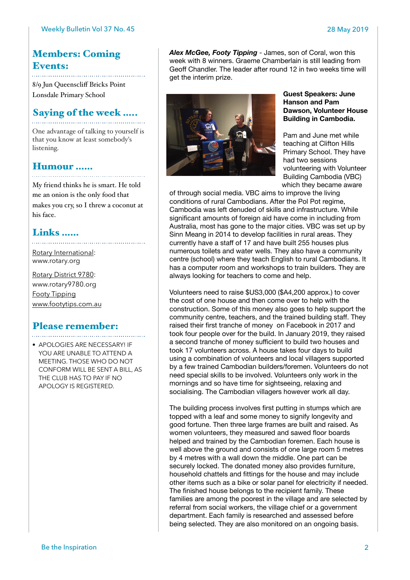### Members: Coming Events:

8/9 Jun Queenscliff Bricks Point Lonsdale Primary School

### Saying of the week .....

One advantage of talking to yourself is that you know at least somebody's listening.

## Humour ……

My friend thinks he is smart. He told me an onion is the only food that makes you cry, so I threw a coconut at his face.

### Links ……

[Rotary International:](https://www.rotary.org) [www.rotary.org](http://www.rotary.org)

[Rotary District 9780](http://rotary9780.org): [www.rotary9780.org](http://www.rotary9780.org)  [Footy Tipping](http://www.footytips.com.au) [www.footytips.com.au](http://www.footytips.com.au)

## Please remember:

• APOLOGIES ARE NECESSARY! IF YOU ARE UNABLE TO ATTEND A MEETING. THOSE WHO DO NOT CONFORM WILL BE SENT A BILL, AS THE CLUB HAS TO PAY IF NO APOLOGY IS REGISTERED.

*Alex McGee, Footy Tipping* - James, son of Coral, won this week with 8 winners. Graeme Chamberlain is still leading from Geoff Chandler. The leader after round 12 in two weeks time will get the interim prize.



**Guest Speakers: June Hanson and Pam Dawson, Volunteer House Building in Cambodia.** 

Pam and June met while teaching at Clifton Hills Primary School. They have had two sessions volunteering with Volunteer Building Cambodia (VBC) which they became aware

of through social media. VBC aims to improve the living conditions of rural Cambodians. After the Pol Pot regime, Cambodia was left denuded of skills and infrastructure. While significant amounts of foreign aid have come in including from Australia, most has gone to the major cities. VBC was set up by Sinn Meang in 2014 to develop facilities in rural areas. They currently have a staff of 17 and have built 255 houses plus numerous toilets and water wells. They also have a community centre (school) where they teach English to rural Cambodians. It has a computer room and workshops to train builders. They are always looking for teachers to come and help.

Volunteers need to raise \$US3,000 (\$A4,200 approx.) to cover the cost of one house and then come over to help with the construction. Some of this money also goes to help support the community centre, teachers, and the trained building staff. They raised their first tranche of money on Facebook in 2017 and took four people over for the build. In January 2019, they raised a second tranche of money sufficient to build two houses and took 17 volunteers across. A house takes four days to build using a combination of volunteers and local villagers supported by a few trained Cambodian builders/foremen. Volunteers do not need special skills to be involved. Volunteers only work in the mornings and so have time for sightseeing, relaxing and socialising. The Cambodian villagers however work all day.

The building process involves first putting in stumps which are topped with a leaf and some money to signify longevity and good fortune. Then three large frames are built and raised. As women volunteers, they measured and sawed floor boards helped and trained by the Cambodian foremen. Each house is well above the ground and consists of one large room 5 metres by 4 metres with a wall down the middle. One part can be securely locked. The donated money also provides furniture, household chattels and fittings for the house and may include other items such as a bike or solar panel for electricity if needed. The finished house belongs to the recipient family. These families are among the poorest in the village and are selected by referral from social workers, the village chief or a government department. Each family is researched and assessed before being selected. They are also monitored on an ongoing basis.